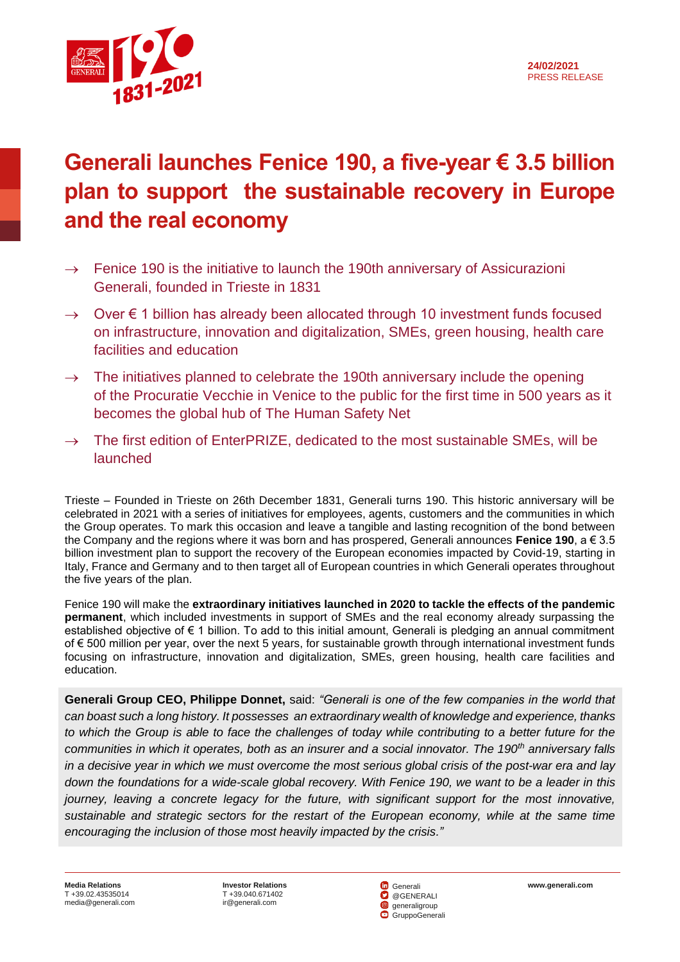



## **Generali launches Fenice 190, a five-year € 3.5 billion plan to support the sustainable recovery in Europe and the real economy**

- $\rightarrow$  Fenice 190 is the initiative to launch the 190th anniversary of Assicurazioni Generali, founded in Trieste in 1831
- $\rightarrow$  Over  $\epsilon$  1 billion has already been allocated through 10 investment funds focused on infrastructure, innovation and digitalization, SMEs, green housing, health care facilities and education
- $\rightarrow$  The initiatives planned to celebrate the 190th anniversary include the opening of the Procuratie Vecchie in Venice to the public for the first time in 500 years as it becomes the global hub of The Human Safety Net
- $\rightarrow$  The first edition of EnterPRIZE, dedicated to the most sustainable SMEs, will be launched

Trieste – Founded in Trieste on 26th December 1831, Generali turns 190. This historic anniversary will be celebrated in 2021 with a series of initiatives for employees, agents, customers and the communities in which the Group operates. To mark this occasion and leave a tangible and lasting recognition of the bond between the Company and the regions where it was born and has prospered, Generali announces **Fenice 190**, a € 3.5 billion investment plan to support the recovery of the European economies impacted by Covid-19, starting in Italy, France and Germany and to then target all of European countries in which Generali operates throughout the five years of the plan.

Fenice 190 will make the **extraordinary initiatives launched in 2020 to tackle the effects of the pandemic permanent**, which included investments in support of SMEs and the real economy already surpassing the established objective of € 1 billion. To add to this initial amount, Generali is pledging an annual commitment of € 500 million per year, over the next 5 years, for sustainable growth through international investment funds focusing on infrastructure, innovation and digitalization, SMEs, green housing, health care facilities and education.

**Generali Group CEO, Philippe Donnet,** said: *"Generali is one of the few companies in the world that can boast such a long history. It possesses an extraordinary wealth of knowledge and experience, thanks to which the Group is able to face the challenges of today while contributing to a better future for the communities in which it operates, both as an insurer and a social innovator. The 190th anniversary falls in a decisive year in which we must overcome the most serious global crisis of the post-war era and lay down the foundations for a wide-scale global recovery. With Fenice 190, we want to be a leader in this journey, leaving a concrete legacy for the future, with significant support for the most innovative, sustainable and strategic sectors for the restart of the European economy, while at the same time encouraging the inclusion of those most heavily impacted by the crisis."*

T +39.040.671402 [ir@generali.com](mailto:ir@generali.com)

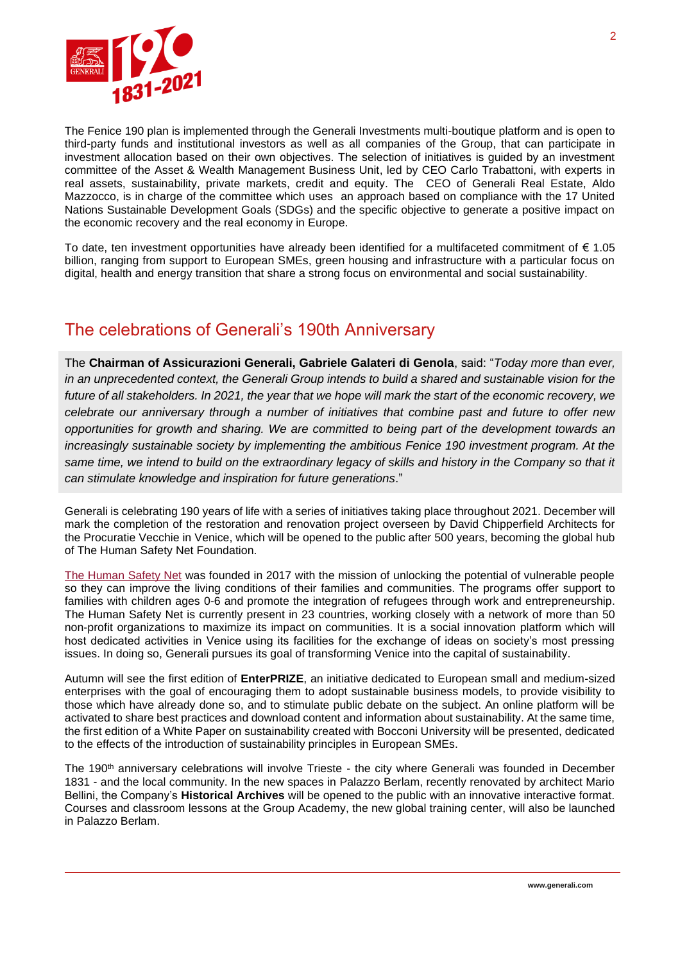

The Fenice 190 plan is implemented through the Generali Investments multi-boutique platform and is open to third-party funds and institutional investors as well as all companies of the Group, that can participate in investment allocation based on their own objectives. The selection of initiatives is guided by an investment committee of the Asset & Wealth Management Business Unit, led by CEO Carlo Trabattoni, with experts in real assets, sustainability, private markets, credit and equity. The CEO of Generali Real Estate, Aldo Mazzocco, is in charge of the committee which uses an approach based on compliance with the 17 United Nations Sustainable Development Goals (SDGs) and the specific objective to generate a positive impact on the economic recovery and the real economy in Europe.

To date, ten investment opportunities have already been identified for a multifaceted commitment of € 1.05 billion, ranging from support to European SMEs, green housing and infrastructure with a particular focus on digital, health and energy transition that share a strong focus on environmental and social sustainability.

## The celebrations of Generali's 190th Anniversary

The **Chairman of Assicurazioni Generali, Gabriele Galateri di Genola**, said: "*Today more than ever, in an unprecedented context, the Generali Group intends to build a shared and sustainable vision for the future of all stakeholders. In 2021, the year that we hope will mark the start of the economic recovery, we celebrate our anniversary through a number of initiatives that combine past and future to offer new opportunities for growth and sharing. We are committed to being part of the development towards an increasingly sustainable society by implementing the ambitious Fenice 190 investment program. At the*  same time, we intend to build on the extraordinary legacy of skills and history in the Company so that it *can stimulate knowledge and inspiration for future generations*."

Generali is celebrating 190 years of life with a series of initiatives taking place throughout 2021. December will mark the completion of the restoration and renovation project overseen by David Chipperfield Architects for the Procuratie Vecchie in Venice, which will be opened to the public after 500 years, becoming the global hub of The Human Safety Net Foundation.

[The Human Safety Net](https://www.thehumansafetynet.org/it/) was founded in 2017 with the mission of unlocking the potential of vulnerable people so they can improve the living conditions of their families and communities. The programs offer support to families with children ages 0-6 and promote the integration of refugees through work and entrepreneurship. The Human Safety Net is currently present in 23 countries, working closely with a network of more than 50 non-profit organizations to maximize its impact on communities. It is a social innovation platform which will host dedicated activities in Venice using its facilities for the exchange of ideas on society's most pressing issues. In doing so, Generali pursues its goal of transforming Venice into the capital of sustainability.

Autumn will see the first edition of **EnterPRIZE**, an initiative dedicated to European small and medium-sized enterprises with the goal of encouraging them to adopt sustainable business models, to provide visibility to those which have already done so, and to stimulate public debate on the subject. An online platform will be activated to share best practices and download content and information about sustainability. At the same time, the first edition of a White Paper on sustainability created with Bocconi University will be presented, dedicated to the effects of the introduction of sustainability principles in European SMEs.

The 190<sup>th</sup> anniversary celebrations will involve Trieste - the city where Generali was founded in December 1831 - and the local community. In the new spaces in Palazzo Berlam, recently renovated by architect Mario Bellini, the Company's **Historical Archives** will be opened to the public with an innovative interactive format. Courses and classroom lessons at the Group Academy, the new global training center, will also be launched in Palazzo Berlam.